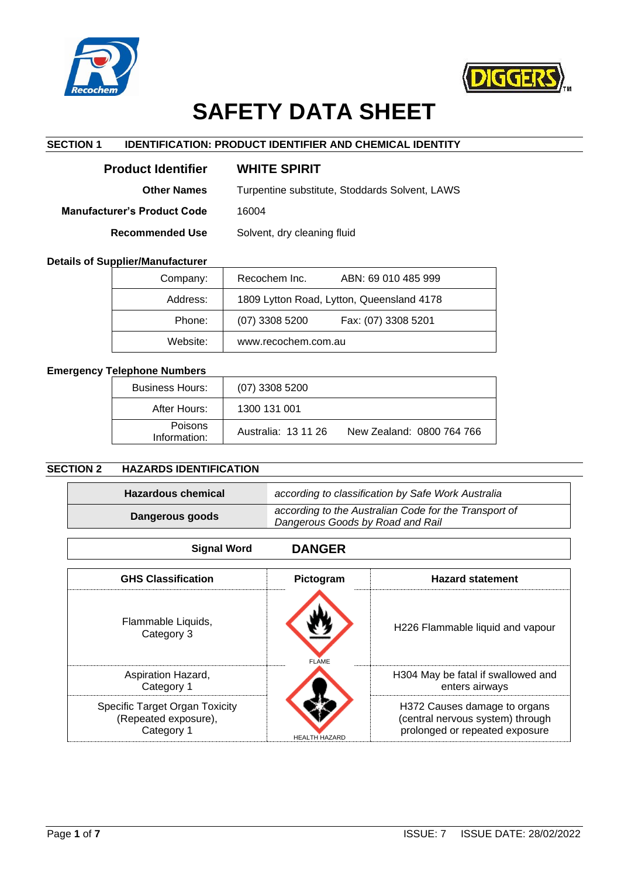



# **SAFETY DATA SHEET**

# **SECTION 1 IDENTIFICATION: PRODUCT IDENTIFIER AND CHEMICAL IDENTITY**

| <b>Product Identifier</b>          | <b>WHITE SPIRIT</b>                            |
|------------------------------------|------------------------------------------------|
| <b>Other Names</b>                 | Turpentine substitute, Stoddards Solvent, LAWS |
| <b>Manufacturer's Product Code</b> | 16004                                          |
| <b>Recommended Use</b>             | Solvent, dry cleaning fluid                    |

# **Details of Supplier/Manufacturer**

| Company: | Recochem Inc.<br>ABN: 69 010 485 999      |
|----------|-------------------------------------------|
| Address: | 1809 Lytton Road, Lytton, Queensland 4178 |
| Phone:   | $(07)$ 3308 5200<br>Fax: (07) 3308 5201   |
| Website: | www.recochem.com.au                       |

# **Emergency Telephone Numbers**

| <b>Business Hours:</b>         | $(07)$ 3308 5200    |                           |
|--------------------------------|---------------------|---------------------------|
| After Hours:                   | 1300 131 001        |                           |
| <b>Poisons</b><br>Information: | Australia: 13 11 26 | New Zealand: 0800 764 766 |

# **SECTION 2 HAZARDS IDENTIFICATION**

| <b>Hazardous chemical</b> | according to classification by Safe Work Australia                                        |
|---------------------------|-------------------------------------------------------------------------------------------|
| Dangerous goods           | according to the Australian Code for the Transport of<br>Dangerous Goods by Road and Rail |

| <b>Signal Word</b>                                                   | <b>DANGER</b>        |                                                                                                    |
|----------------------------------------------------------------------|----------------------|----------------------------------------------------------------------------------------------------|
| <b>GHS Classification</b>                                            | Pictogram            | <b>Hazard statement</b>                                                                            |
| Flammable Liquids,<br>Category 3                                     | <b>FLAME</b>         | H226 Flammable liquid and vapour                                                                   |
| Aspiration Hazard,<br>Category 1                                     |                      | H304 May be fatal if swallowed and<br>enters airways                                               |
| Specific Target Organ Toxicity<br>(Repeated exposure),<br>Category 1 | <b>HEALTH HAZARD</b> | H372 Causes damage to organs<br>(central nervous system) through<br>prolonged or repeated exposure |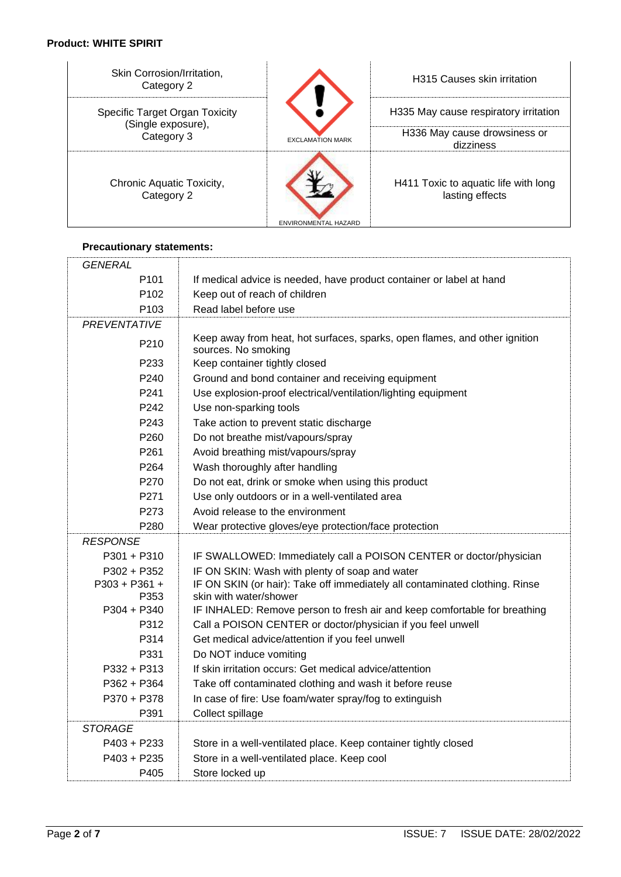# **Product: WHITE SPIRIT**

| Skin Corrosion/Irritation,<br>Category 2             |                         | <b>H315 Causes skin irritation</b>                      |
|------------------------------------------------------|-------------------------|---------------------------------------------------------|
| Specific Target Organ Toxicity<br>(Single exposure), |                         | H335 May cause respiratory irritation                   |
| Category 3                                           | <b>EXCLAMATION MARK</b> | H336 May cause drowsiness or<br>dizziness               |
| Chronic Aquatic Toxicity,<br>Category 2              | ENVIRONMENTAL HAZARD    | H411 Toxic to aquatic life with long<br>lasting effects |

# **Precautionary statements:**

| GENERAL             |                                                                                                   |
|---------------------|---------------------------------------------------------------------------------------------------|
| P <sub>101</sub>    | If medical advice is needed, have product container or label at hand                              |
| P <sub>102</sub>    | Keep out of reach of children                                                                     |
| P <sub>103</sub>    | Read label before use                                                                             |
| <b>PREVENTATIVE</b> |                                                                                                   |
| P <sub>210</sub>    | Keep away from heat, hot surfaces, sparks, open flames, and other ignition<br>sources. No smoking |
| P <sub>2</sub> 33   | Keep container tightly closed                                                                     |
| P <sub>240</sub>    | Ground and bond container and receiving equipment                                                 |
| P <sub>241</sub>    | Use explosion-proof electrical/ventilation/lighting equipment                                     |
| P <sub>242</sub>    | Use non-sparking tools                                                                            |
| P <sub>243</sub>    | Take action to prevent static discharge                                                           |
| P <sub>260</sub>    | Do not breathe mist/vapours/spray                                                                 |
| P <sub>261</sub>    | Avoid breathing mist/vapours/spray                                                                |
| P <sub>264</sub>    | Wash thoroughly after handling                                                                    |
| P270                | Do not eat, drink or smoke when using this product                                                |
| P271                | Use only outdoors or in a well-ventilated area                                                    |
| P273                | Avoid release to the environment                                                                  |
| P <sub>280</sub>    | Wear protective gloves/eye protection/face protection                                             |
| <b>RESPONSE</b>     |                                                                                                   |
| $P301 + P310$       | IF SWALLOWED: Immediately call a POISON CENTER or doctor/physician                                |
| $P302 + P352$       | IF ON SKIN: Wash with plenty of soap and water                                                    |
| P303 + P361 +       | IF ON SKIN (or hair): Take off immediately all contaminated clothing. Rinse                       |
| P353                | skin with water/shower                                                                            |
| $P304 + P340$       | IF INHALED: Remove person to fresh air and keep comfortable for breathing                         |
| P312                | Call a POISON CENTER or doctor/physician if you feel unwell                                       |
| P314                | Get medical advice/attention if you feel unwell                                                   |
| P331                | Do NOT induce vomiting                                                                            |
| P332 + P313         | If skin irritation occurs: Get medical advice/attention                                           |
| P362 + P364         | Take off contaminated clothing and wash it before reuse                                           |
| P370 + P378         | In case of fire: Use foam/water spray/fog to extinguish                                           |
| P391                | Collect spillage                                                                                  |
| <b>STORAGE</b>      |                                                                                                   |
| P403 + P233         | Store in a well-ventilated place. Keep container tightly closed                                   |
| P403 + P235         | Store in a well-ventilated place. Keep cool                                                       |
| P405                | Store locked up                                                                                   |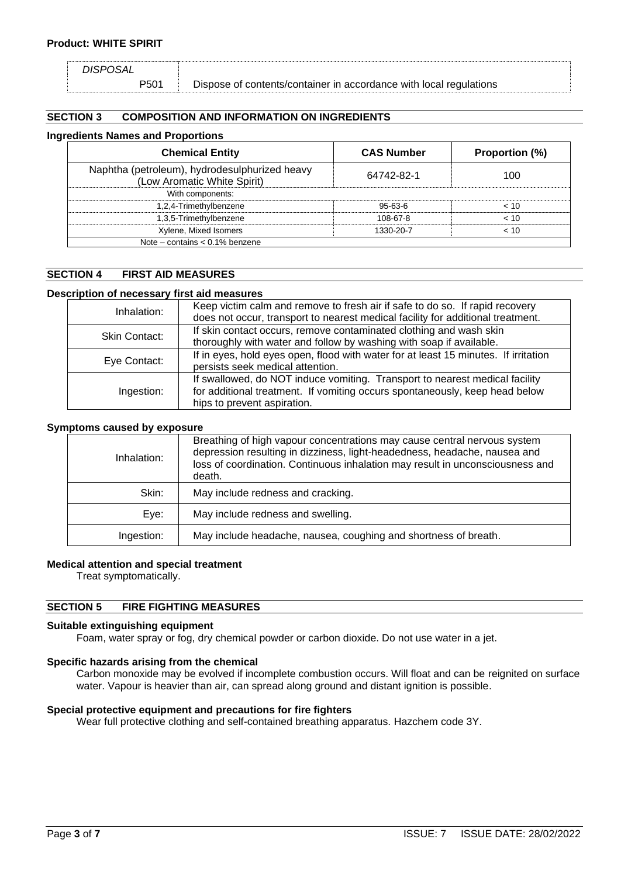*DISPOSAL*

P501 Dispose of contents/container in accordance with local regulations

# **SECTION 3 COMPOSITION AND INFORMATION ON INGREDIENTS**

## **Ingredients Names and Proportions**

| <b>Chemical Entity</b>                                                       | <b>CAS Number</b> | Proportion (%) |
|------------------------------------------------------------------------------|-------------------|----------------|
| Naphtha (petroleum), hydrodesulphurized heavy<br>(Low Aromatic White Spirit) | 64742-82-1        | 100            |
| With components:                                                             |                   |                |
| 1,2,4-Trimethylbenzene                                                       | $95-63-6$         | < 10           |
| 1,3,5-Trimethylbenzene                                                       | 108-67-8          | < 10           |
| Xylene, Mixed Isomers<br>1330-20-7<br>< 10                                   |                   |                |
| Note – contains $< 0.1\%$ benzene                                            |                   |                |

# **SECTION 4 FIRST AID MEASURES**

# **Description of necessary first aid measures**

| Inhalation:   | Keep victim calm and remove to fresh air if safe to do so. If rapid recovery        |
|---------------|-------------------------------------------------------------------------------------|
|               | does not occur, transport to nearest medical facility for additional treatment.     |
| Skin Contact: | If skin contact occurs, remove contaminated clothing and wash skin                  |
|               | thoroughly with water and follow by washing with soap if available.                 |
|               | If in eyes, hold eyes open, flood with water for at least 15 minutes. If irritation |
| Eye Contact:  | persists seek medical attention.                                                    |
|               | If swallowed, do NOT induce vomiting. Transport to nearest medical facility         |
| Ingestion:    | for additional treatment. If vomiting occurs spontaneously, keep head below         |
|               | hips to prevent aspiration.                                                         |

## **Symptoms caused by exposure**

| Inhalation: | Breathing of high vapour concentrations may cause central nervous system<br>depression resulting in dizziness, light-headedness, headache, nausea and<br>loss of coordination. Continuous inhalation may result in unconsciousness and<br>death. |
|-------------|--------------------------------------------------------------------------------------------------------------------------------------------------------------------------------------------------------------------------------------------------|
| Skin:       | May include redness and cracking.                                                                                                                                                                                                                |
| Eye:        | May include redness and swelling.                                                                                                                                                                                                                |
| Ingestion:  | May include headache, nausea, coughing and shortness of breath.                                                                                                                                                                                  |

#### **Medical attention and special treatment**

Treat symptomatically.

# **SECTION 5 FIRE FIGHTING MEASURES**

#### **Suitable extinguishing equipment**

Foam, water spray or fog, dry chemical powder or carbon dioxide. Do not use water in a jet.

#### **Specific hazards arising from the chemical**

Carbon monoxide may be evolved if incomplete combustion occurs. Will float and can be reignited on surface water. Vapour is heavier than air, can spread along ground and distant ignition is possible.

## **Special protective equipment and precautions for fire fighters**

Wear full protective clothing and self-contained breathing apparatus. Hazchem code 3Y.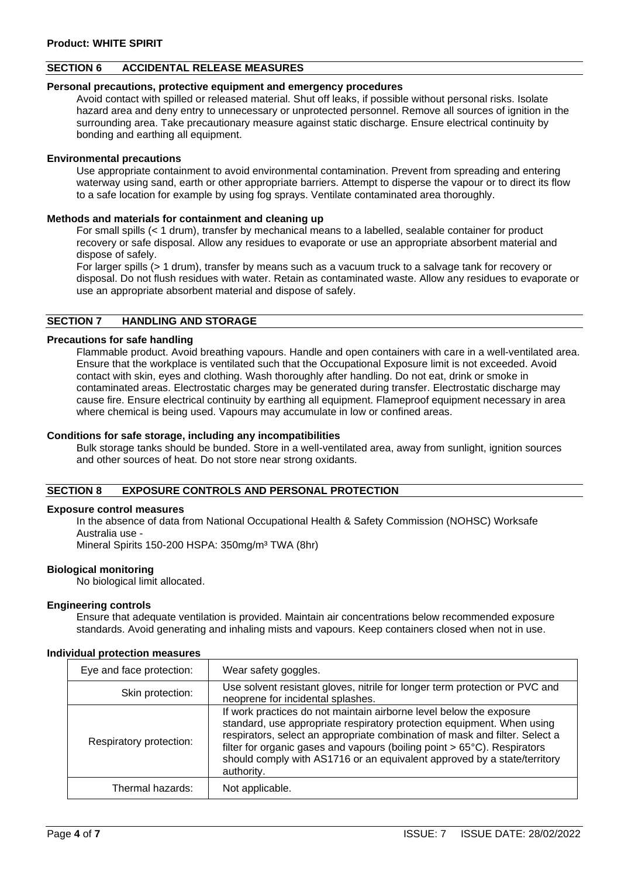# **SECTION 6 ACCIDENTAL RELEASE MEASURES**

## **Personal precautions, protective equipment and emergency procedures**

Avoid contact with spilled or released material. Shut off leaks, if possible without personal risks. Isolate hazard area and deny entry to unnecessary or unprotected personnel. Remove all sources of ignition in the surrounding area. Take precautionary measure against static discharge. Ensure electrical continuity by bonding and earthing all equipment.

#### **Environmental precautions**

Use appropriate containment to avoid environmental contamination. Prevent from spreading and entering waterway using sand, earth or other appropriate barriers. Attempt to disperse the vapour or to direct its flow to a safe location for example by using fog sprays. Ventilate contaminated area thoroughly.

#### **Methods and materials for containment and cleaning up**

For small spills (< 1 drum), transfer by mechanical means to a labelled, sealable container for product recovery or safe disposal. Allow any residues to evaporate or use an appropriate absorbent material and dispose of safely.

For larger spills (> 1 drum), transfer by means such as a vacuum truck to a salvage tank for recovery or disposal. Do not flush residues with water. Retain as contaminated waste. Allow any residues to evaporate or use an appropriate absorbent material and dispose of safely.

## **SECTION 7 HANDLING AND STORAGE**

#### **Precautions for safe handling**

Flammable product. Avoid breathing vapours. Handle and open containers with care in a well-ventilated area. Ensure that the workplace is ventilated such that the Occupational Exposure limit is not exceeded. Avoid contact with skin, eyes and clothing. Wash thoroughly after handling. Do not eat, drink or smoke in contaminated areas. Electrostatic charges may be generated during transfer. Electrostatic discharge may cause fire. Ensure electrical continuity by earthing all equipment. Flameproof equipment necessary in area where chemical is being used. Vapours may accumulate in low or confined areas.

#### **Conditions for safe storage, including any incompatibilities**

Bulk storage tanks should be bunded. Store in a well-ventilated area, away from sunlight, ignition sources and other sources of heat. Do not store near strong oxidants.

# **SECTION 8 EXPOSURE CONTROLS AND PERSONAL PROTECTION**

#### **Exposure control measures**

In the absence of data from National Occupational Health & Safety Commission (NOHSC) Worksafe Australia use -

Mineral Spirits 150-200 HSPA: 350mg/m³ TWA (8hr)

#### **Biological monitoring**

No biological limit allocated.

#### **Engineering controls**

Ensure that adequate ventilation is provided. Maintain air concentrations below recommended exposure standards. Avoid generating and inhaling mists and vapours. Keep containers closed when not in use.

| Eye and face protection: | Wear safety goggles.                                                                                                                                                                                                                                                                                                                                                                               |
|--------------------------|----------------------------------------------------------------------------------------------------------------------------------------------------------------------------------------------------------------------------------------------------------------------------------------------------------------------------------------------------------------------------------------------------|
| Skin protection:         | Use solvent resistant gloves, nitrile for longer term protection or PVC and<br>neoprene for incidental splashes.                                                                                                                                                                                                                                                                                   |
| Respiratory protection:  | If work practices do not maintain airborne level below the exposure<br>standard, use appropriate respiratory protection equipment. When using<br>respirators, select an appropriate combination of mask and filter. Select a<br>filter for organic gases and vapours (boiling point > 65°C). Respirators<br>should comply with AS1716 or an equivalent approved by a state/territory<br>authority. |
| Thermal hazards:         | Not applicable.                                                                                                                                                                                                                                                                                                                                                                                    |

#### **Individual protection measures**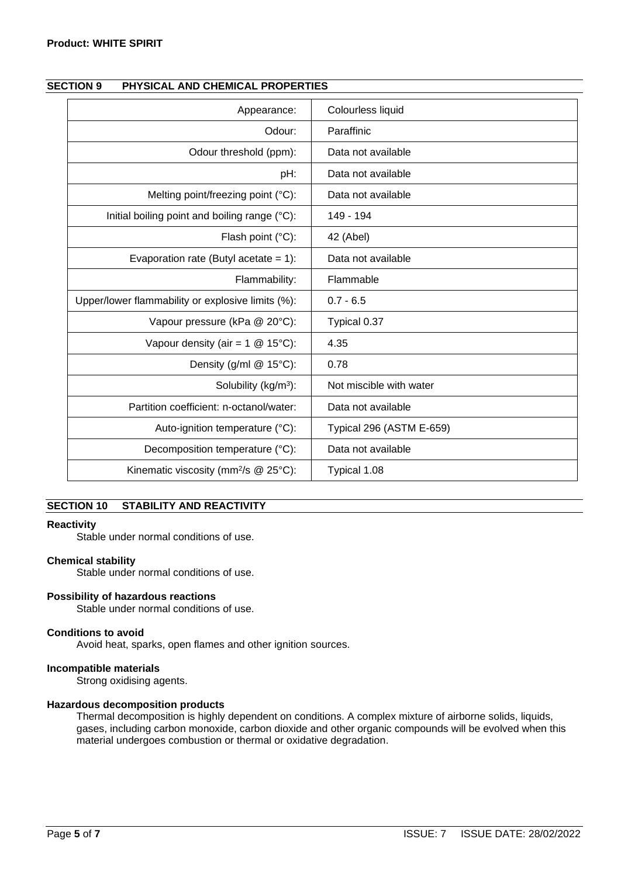| Appearance:                                                               | Colourless liquid        |
|---------------------------------------------------------------------------|--------------------------|
| Odour:                                                                    | Paraffinic               |
| Odour threshold (ppm):                                                    | Data not available       |
| pH:                                                                       | Data not available       |
| Melting point/freezing point (°C):                                        | Data not available       |
| Initial boiling point and boiling range (°C):                             | 149 - 194                |
| Flash point (°C):                                                         | 42 (Abel)                |
| Evaporation rate (Butyl acetate = $1$ ):                                  | Data not available       |
| Flammability:                                                             | Flammable                |
| Upper/lower flammability or explosive limits (%):                         | $0.7 - 6.5$              |
| Vapour pressure (kPa @ 20°C):                                             | Typical 0.37             |
| Vapour density (air = $1 \text{ } \textcircled{ } 15^{\circ} \text{C}$ ): | 4.35                     |
| Density (g/ml @ 15°C):                                                    | 0.78                     |
| Solubility (kg/m <sup>3</sup> ):                                          | Not miscible with water  |
| Partition coefficient: n-octanol/water:                                   | Data not available       |
| Auto-ignition temperature (°C):                                           | Typical 296 (ASTM E-659) |
| Decomposition temperature (°C):                                           | Data not available       |
| Kinematic viscosity (mm <sup>2</sup> /s @ 25°C):                          | Typical 1.08             |

# **SECTION 9 PHYSICAL AND CHEMICAL PROPERTIES**

# **SECTION 10 STABILITY AND REACTIVITY**

#### **Reactivity**

Stable under normal conditions of use.

#### **Chemical stability**

Stable under normal conditions of use.

#### **Possibility of hazardous reactions**

Stable under normal conditions of use.

#### **Conditions to avoid**

Avoid heat, sparks, open flames and other ignition sources.

## **Incompatible materials**

Strong oxidising agents.

#### **Hazardous decomposition products**

Thermal decomposition is highly dependent on conditions. A complex mixture of airborne solids, liquids, gases, including carbon monoxide, carbon dioxide and other organic compounds will be evolved when this material undergoes combustion or thermal or oxidative degradation.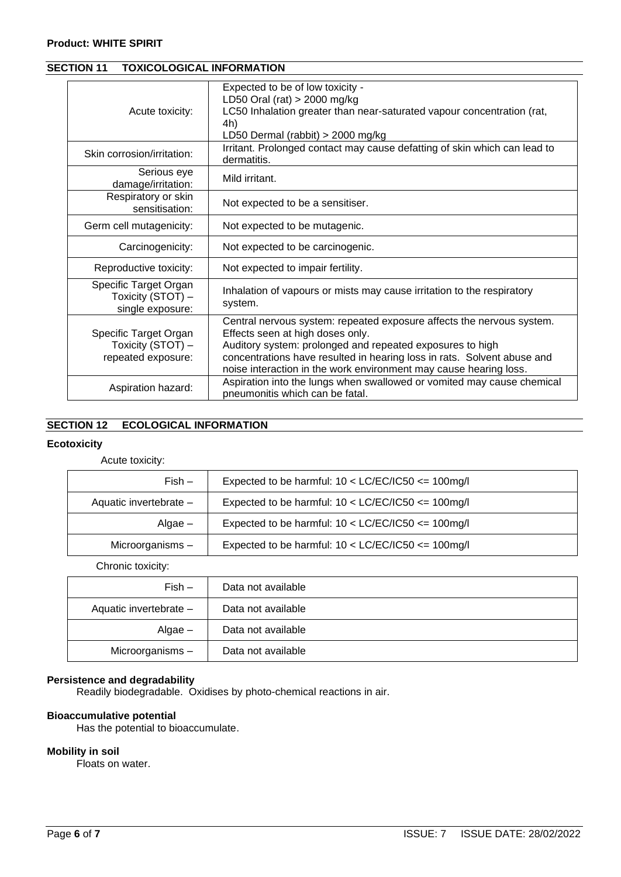## **Product: WHITE SPIRIT**

| Acute toxicity:                                                  | Expected to be of low toxicity -<br>LD50 Oral (rat) > 2000 mg/kg<br>LC50 Inhalation greater than near-saturated vapour concentration (rat,<br>4h)<br>LD50 Dermal (rabbit) > 2000 mg/kg                                                                                                                                 |
|------------------------------------------------------------------|------------------------------------------------------------------------------------------------------------------------------------------------------------------------------------------------------------------------------------------------------------------------------------------------------------------------|
| Skin corrosion/irritation:                                       | Irritant. Prolonged contact may cause defatting of skin which can lead to<br>dermatitis.                                                                                                                                                                                                                               |
| Serious eye<br>damage/irritation:                                | Mild irritant.                                                                                                                                                                                                                                                                                                         |
| Respiratory or skin<br>sensitisation:                            | Not expected to be a sensitiser.                                                                                                                                                                                                                                                                                       |
| Germ cell mutagenicity:                                          | Not expected to be mutagenic.                                                                                                                                                                                                                                                                                          |
| Carcinogenicity:                                                 | Not expected to be carcinogenic.                                                                                                                                                                                                                                                                                       |
| Reproductive toxicity:                                           | Not expected to impair fertility.                                                                                                                                                                                                                                                                                      |
| Specific Target Organ<br>Toxicity (STOT) -<br>single exposure:   | Inhalation of vapours or mists may cause irritation to the respiratory<br>system.                                                                                                                                                                                                                                      |
| Specific Target Organ<br>Toxicity (STOT) -<br>repeated exposure: | Central nervous system: repeated exposure affects the nervous system.<br>Effects seen at high doses only.<br>Auditory system: prolonged and repeated exposures to high<br>concentrations have resulted in hearing loss in rats. Solvent abuse and<br>noise interaction in the work environment may cause hearing loss. |
| Aspiration hazard:                                               | Aspiration into the lungs when swallowed or vomited may cause chemical<br>pneumonitis which can be fatal.                                                                                                                                                                                                              |

# **SECTION 11 TOXICOLOGICAL INFORMATION**

# **SECTION 12 ECOLOGICAL INFORMATION**

## **Ecotoxicity**

Acute toxicity:

| $Fish -$               | Expected to be harmful: $10 < LC/EC/IC50 < = 100$ mg/l |
|------------------------|--------------------------------------------------------|
| Aquatic invertebrate - | Expected to be harmful: $10 < LC/EC/IC50 < = 100$ mg/l |
| Algae –                | Expected to be harmful: $10 < LC/EC/IC50 < = 100$ mg/l |
| Microorganisms -       | Expected to be harmful: $10 < LC/EC/IC50 < = 100$ mg/l |

Chronic toxicity:

| $Fish -$               | Data not available |
|------------------------|--------------------|
| Aquatic invertebrate - | Data not available |
| $Algae -$              | Data not available |
| Microorganisms -       | Data not available |

# **Persistence and degradability**

Readily biodegradable. Oxidises by photo-chemical reactions in air.

## **Bioaccumulative potential**

Has the potential to bioaccumulate.

## **Mobility in soil**

Floats on water.